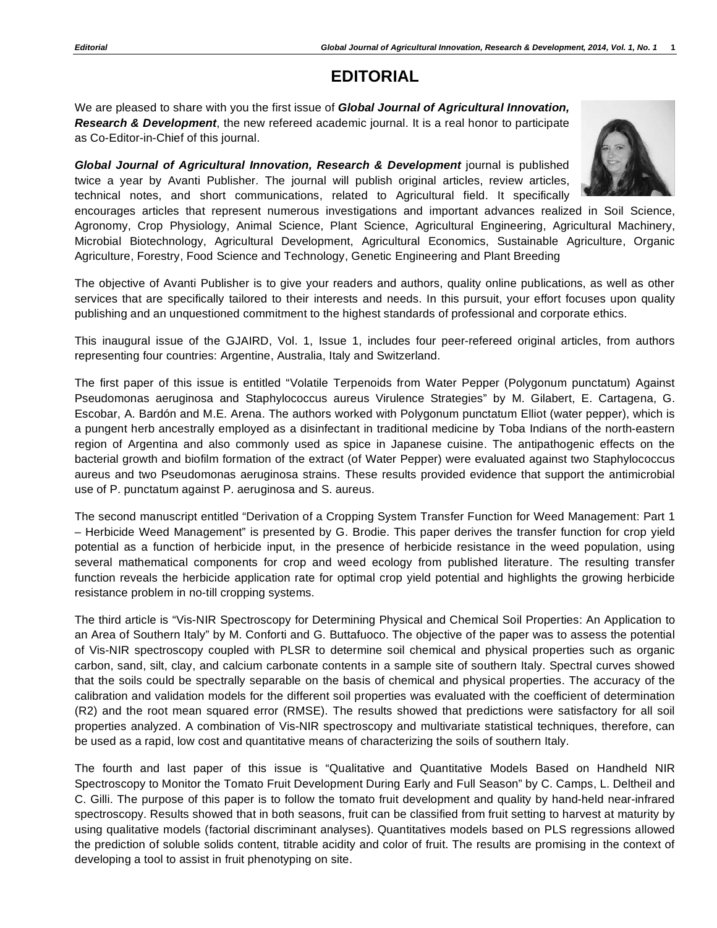## **EDITORIAL**

We are pleased to share with you the first issue of *Global Journal of Agricultural Innovation, Research & Development*, the new refereed academic journal. It is a real honor to participate as Co-Editor-in-Chief of this journal.

*Global Journal of Agricultural Innovation, Research & Development* journal is published twice a year by Avanti Publisher. The journal will publish original articles, review articles, technical notes, and short communications, related to Agricultural field. It specifically



encourages articles that represent numerous investigations and important advances realized in Soil Science, Agronomy, Crop Physiology, Animal Science, Plant Science, Agricultural Engineering, Agricultural Machinery, Microbial Biotechnology, Agricultural Development, Agricultural Economics, Sustainable Agriculture, Organic Agriculture, Forestry, Food Science and Technology, Genetic Engineering and Plant Breeding

The objective of Avanti Publisher is to give your readers and authors, quality online publications, as well as other services that are specifically tailored to their interests and needs. In this pursuit, your effort focuses upon quality publishing and an unquestioned commitment to the highest standards of professional and corporate ethics.

This inaugural issue of the GJAIRD, Vol. 1, Issue 1, includes four peer-refereed original articles, from authors representing four countries: Argentine, Australia, Italy and Switzerland.

The first paper of this issue is entitled "Volatile Terpenoids from Water Pepper (Polygonum punctatum) Against Pseudomonas aeruginosa and Staphylococcus aureus Virulence Strategies" by M. Gilabert, E. Cartagena, G. Escobar, A. Bardón and M.E. Arena. The authors worked with Polygonum punctatum Elliot (water pepper), which is a pungent herb ancestrally employed as a disinfectant in traditional medicine by Toba Indians of the north-eastern region of Argentina and also commonly used as spice in Japanese cuisine. The antipathogenic effects on the bacterial growth and biofilm formation of the extract (of Water Pepper) were evaluated against two Staphylococcus aureus and two Pseudomonas aeruginosa strains. These results provided evidence that support the antimicrobial use of P. punctatum against P. aeruginosa and S. aureus.

The second manuscript entitled "Derivation of a Cropping System Transfer Function for Weed Management: Part 1 – Herbicide Weed Management" is presented by G. Brodie. This paper derives the transfer function for crop yield potential as a function of herbicide input, in the presence of herbicide resistance in the weed population, using several mathematical components for crop and weed ecology from published literature. The resulting transfer function reveals the herbicide application rate for optimal crop yield potential and highlights the growing herbicide resistance problem in no-till cropping systems.

The third article is "Vis-NIR Spectroscopy for Determining Physical and Chemical Soil Properties: An Application to an Area of Southern Italy" by M. Conforti and G. Buttafuoco. The objective of the paper was to assess the potential of Vis-NIR spectroscopy coupled with PLSR to determine soil chemical and physical properties such as organic carbon, sand, silt, clay, and calcium carbonate contents in a sample site of southern Italy. Spectral curves showed that the soils could be spectrally separable on the basis of chemical and physical properties. The accuracy of the calibration and validation models for the different soil properties was evaluated with the coefficient of determination (R2) and the root mean squared error (RMSE). The results showed that predictions were satisfactory for all soil properties analyzed. A combination of Vis-NIR spectroscopy and multivariate statistical techniques, therefore, can be used as a rapid, low cost and quantitative means of characterizing the soils of southern Italy.

The fourth and last paper of this issue is "Qualitative and Quantitative Models Based on Handheld NIR Spectroscopy to Monitor the Tomato Fruit Development During Early and Full Season" by C. Camps, L. Deltheil and C. Gilli. The purpose of this paper is to follow the tomato fruit development and quality by hand-held near-infrared spectroscopy. Results showed that in both seasons, fruit can be classified from fruit setting to harvest at maturity by using qualitative models (factorial discriminant analyses). Quantitatives models based on PLS regressions allowed the prediction of soluble solids content, titrable acidity and color of fruit. The results are promising in the context of developing a tool to assist in fruit phenotyping on site.